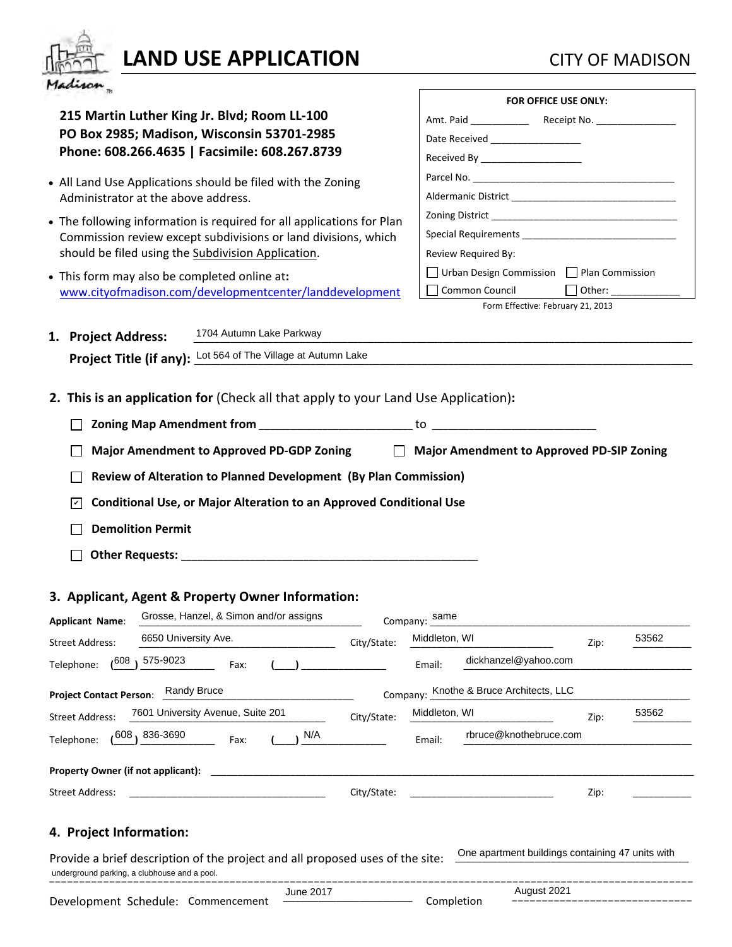

## **LAND USE APPLICATION** CITY OF MADISON

| maxum <sub>m</sub>                                                                                                                                                                                                                                                                   |             |                                                                         |                                                                                            |                                                                                                                                                                                                                                                                                                                                                                                                                          |
|--------------------------------------------------------------------------------------------------------------------------------------------------------------------------------------------------------------------------------------------------------------------------------------|-------------|-------------------------------------------------------------------------|--------------------------------------------------------------------------------------------|--------------------------------------------------------------------------------------------------------------------------------------------------------------------------------------------------------------------------------------------------------------------------------------------------------------------------------------------------------------------------------------------------------------------------|
| 215 Martin Luther King Jr. Blvd; Room LL-100<br>PO Box 2985; Madison, Wisconsin 53701-2985<br>Phone: 608.266.4635   Facsimile: 608.267.8739                                                                                                                                          |             | Date Received __________________<br>Received By _______________________ | FOR OFFICE USE ONLY:                                                                       |                                                                                                                                                                                                                                                                                                                                                                                                                          |
| • All Land Use Applications should be filed with the Zoning<br>Administrator at the above address.                                                                                                                                                                                   |             |                                                                         |                                                                                            |                                                                                                                                                                                                                                                                                                                                                                                                                          |
| • The following information is required for all applications for Plan<br>Commission review except subdivisions or land divisions, which<br>should be filed using the Subdivision Application.                                                                                        |             | Review Required By:                                                     |                                                                                            |                                                                                                                                                                                                                                                                                                                                                                                                                          |
| • This form may also be completed online at:<br>www.cityofmadison.com/developmentcenter/landdevelopment                                                                                                                                                                              |             | Common Council                                                          | $\Box$ Urban Design Commission $\Box$ Plan Commission<br>Form Effective: February 21, 2013 | Other: $\frac{1}{\sqrt{1-\frac{1}{2}}}\frac{1}{\sqrt{1-\frac{1}{2}}}\frac{1}{\sqrt{1-\frac{1}{2}}}\frac{1}{\sqrt{1-\frac{1}{2}}}\frac{1}{\sqrt{1-\frac{1}{2}}}\frac{1}{\sqrt{1-\frac{1}{2}}}\frac{1}{\sqrt{1-\frac{1}{2}}}\frac{1}{\sqrt{1-\frac{1}{2}}}\frac{1}{\sqrt{1-\frac{1}{2}}}\frac{1}{\sqrt{1-\frac{1}{2}}}\frac{1}{\sqrt{1-\frac{1}{2}}}\frac{1}{\sqrt{1-\frac{1}{2}}}\frac{1}{\sqrt{1-\frac{1}{2}}}\frac{1}{$ |
| 1704 Autumn Lake Parkway<br>1. Project Address:                                                                                                                                                                                                                                      |             |                                                                         |                                                                                            |                                                                                                                                                                                                                                                                                                                                                                                                                          |
| Project Title (if any): Lot 564 of The Village at Autumn Lake                                                                                                                                                                                                                        |             |                                                                         |                                                                                            |                                                                                                                                                                                                                                                                                                                                                                                                                          |
|                                                                                                                                                                                                                                                                                      |             |                                                                         |                                                                                            |                                                                                                                                                                                                                                                                                                                                                                                                                          |
| Major Amendment to Approved PD-GDP Zoning Major Amendment to Approved PD-SIP Zoning<br>Review of Alteration to Planned Development (By Plan Commission)<br><b>Conditional Use, or Major Alteration to an Approved Conditional Use</b><br>$ \mathcal{V} $<br><b>Demolition Permit</b> |             |                                                                         |                                                                                            |                                                                                                                                                                                                                                                                                                                                                                                                                          |
|                                                                                                                                                                                                                                                                                      |             |                                                                         |                                                                                            |                                                                                                                                                                                                                                                                                                                                                                                                                          |
| 3. Applicant, Agent & Property Owner Information:<br>Grosse, Hanzel, & Simon and/or assigns<br><b>Applicant Name:</b><br>6650 University Ave.<br><b>Street Address:</b><br>575-9023<br>608ء<br>Telephone:<br>Fax:                                                                    | City/State: | Company: same<br>Middleton, WI<br>Email:                                | Zip:<br>dickhanzel@yahoo.com                                                               | 53562                                                                                                                                                                                                                                                                                                                                                                                                                    |
| <b>Randy Bruce</b>                                                                                                                                                                                                                                                                   |             |                                                                         |                                                                                            |                                                                                                                                                                                                                                                                                                                                                                                                                          |
| <b>Project Contact Person:</b><br>7601 University Avenue, Suite 201                                                                                                                                                                                                                  |             | Company: Knothe & Bruce Architects, LLC<br>Middleton, WI                |                                                                                            | 53562                                                                                                                                                                                                                                                                                                                                                                                                                    |
| <b>Street Address:</b>                                                                                                                                                                                                                                                               | City/State: |                                                                         | Zip:<br>rbruce@knothebruce.com                                                             |                                                                                                                                                                                                                                                                                                                                                                                                                          |
| 836-3690 <sub>1</sub> 608 ہ<br>Telephone:<br>Fax:                                                                                                                                                                                                                                    | N/A         | Email:                                                                  |                                                                                            |                                                                                                                                                                                                                                                                                                                                                                                                                          |
| Property Owner (if not applicant):                                                                                                                                                                                                                                                   |             |                                                                         |                                                                                            |                                                                                                                                                                                                                                                                                                                                                                                                                          |
| Street Address:                                                                                                                                                                                                                                                                      | City/State: |                                                                         | Zip:                                                                                       |                                                                                                                                                                                                                                                                                                                                                                                                                          |
| 4. Project Information:<br>Provide a brief description of the project and all proposed uses of the site:<br>underground parking, a clubhouse and a pool.                                                                                                                             |             |                                                                         | One apartment buildings containing 47 units with                                           |                                                                                                                                                                                                                                                                                                                                                                                                                          |

Development Schedule: Commencement \_\_\_\_\_\_\_\_\_\_\_\_\_\_\_\_\_\_\_\_\_\_\_\_\_\_\_\_\_\_\_ Completion August 2021